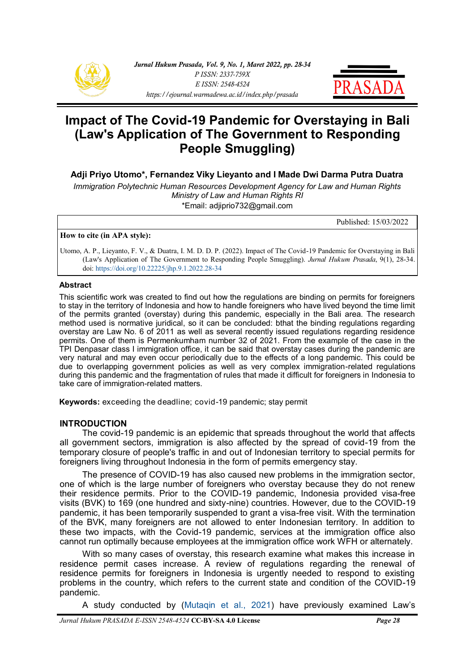



# **Impact of The Covid-19 Pandemic for Overstaying in Bali (Law's Application of The Government to Responding People Smuggling)**

**Adji Priyo Utomo\*, Fernandez Viky Lieyanto and I Made Dwi Darma Putra Duatra** 

*Immigration Polytechnic Human Resources Development Agency for Law and Human Rights Ministry of Law and Human Rights RI*  \*Email: adjiprio732@gmail.com

Published: 15/03/2022

#### **How to cite (in APA style):**

Utomo, A. P., Lieyanto, F. V., & Duatra, I. M. D. D. P. (2022). Impact of The Covid-19 Pandemic for Overstaying in Bali (Law's Application of The Government to Responding People Smuggling). *Jurnal Hukum Prasada*, 9(1), 28-34. doi: [https://doi.org/10.22225/jhp.9.1.2022.28](https://ejournal.warmadewa.ac.id/index.php/prasada/article/view/4758)-34

#### **Abstract**

This scientific work was created to find out how the regulations are binding on permits for foreigners to stay in the territory of Indonesia and how to handle foreigners who have lived beyond the time limit of the permits granted (overstay) during this pandemic, especially in the Bali area. The research method used is normative juridical, so it can be concluded: bthat the binding regulations regarding overstay are Law No. 6 of 2011 as well as several recently issued regulations regarding residence permits. One of them is Permenkumham number 32 of 2021. From the example of the case in the TPI Denpasar class I immigration office, it can be said that overstay cases during the pandemic are very natural and may even occur periodically due to the effects of a long pandemic. This could be due to overlapping government policies as well as very complex immigration-related regulations during this pandemic and the fragmentation of rules that made it difficult for foreigners in Indonesia to take care of immigration-related matters.

**Keywords:** exceeding the deadline; covid-19 pandemic; stay permit

#### **INTRODUCTION**

The covid-19 pandemic is an epidemic that spreads throughout the world that affects all government sectors, immigration is also affected by the spread of covid-19 from the temporary closure of people's traffic in and out of Indonesian territory to special permits for foreigners living throughout Indonesia in the form of permits emergency stay.

The presence of COVID-19 has also caused new problems in the immigration sector, one of which is the large number of foreigners who overstay because they do not renew their residence permits. Prior to the COVID-19 pandemic, Indonesia provided visa-free visits (BVK) to 169 (one hundred and sixty-nine) countries. However, due to the COVID-19 pandemic, it has been temporarily suspended to grant a visa-free visit. With the termination of the BVK, many foreigners are not allowed to enter Indonesian territory. In addition to these two impacts, with the Covid-19 pandemic, services at the immigration office also cannot run optimally because employees at the immigration office work WFH or alternately.

With so many cases of overstay, this research examine what makes this increase in residence permit cases increase. A review of regulations regarding the renewal of residence permits for foreigners in Indonesia is urgently needed to respond to existing problems in the country, which refers to the current state and condition of the COVID-19 pandemic.

A study conducted by ([Mutaqin et al., 2021\)](#page-6-0) have previously examined Law's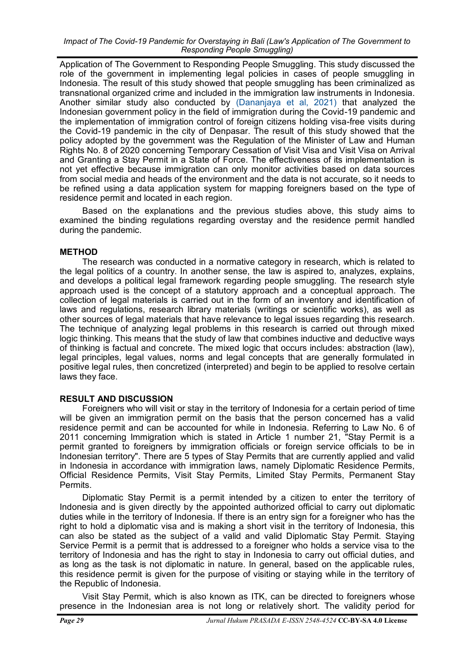Application of The Government to Responding People Smuggling. This study discussed the role of the government in implementing legal policies in cases of people smuggling in Indonesia. The result of this study showed that people smuggling has been criminalized as transnational organized crime and included in the immigration law instruments in Indonesia. Another similar study also conducted by [\(Dananjaya et al, 2021\)](#page-6-0) that analyzed the Indonesian government policy in the field of immigration during the Covid-19 pandemic and the implementation of immigration control of foreign citizens holding visa-free visits during the Covid-19 pandemic in the city of Denpasar. The result of this study showed that the policy adopted by the government was the Regulation of the Minister of Law and Human Rights No. 8 of 2020 concerning Temporary Cessation of Visit Visa and Visit Visa on Arrival and Granting a Stay Permit in a State of Force. The effectiveness of its implementation is not yet effective because immigration can only monitor activities based on data sources from social media and heads of the environment and the data is not accurate, so it needs to be refined using a data application system for mapping foreigners based on the type of residence permit and located in each region.

Based on the explanations and the previous studies above, this study aims to examined the binding regulations regarding overstay and the residence permit handled during the pandemic.

# **METHOD**

The research was conducted in a normative category in research, which is related to the legal politics of a country. In another sense, the law is aspired to, analyzes, explains, and develops a political legal framework regarding people smuggling. The research style approach used is the concept of a statutory approach and a conceptual approach. The collection of legal materials is carried out in the form of an inventory and identification of laws and regulations, research library materials (writings or scientific works), as well as other sources of legal materials that have relevance to legal issues regarding this research. The technique of analyzing legal problems in this research is carried out through mixed logic thinking. This means that the study of law that combines inductive and deductive ways of thinking is factual and concrete. The mixed logic that occurs includes: abstraction (law), legal principles, legal values, norms and legal concepts that are generally formulated in positive legal rules, then concretized (interpreted) and begin to be applied to resolve certain laws they face.

# **RESULT AND DISCUSSION**

Foreigners who will visit or stay in the territory of Indonesia for a certain period of time will be given an immigration permit on the basis that the person concerned has a valid residence permit and can be accounted for while in Indonesia. Referring to Law No. 6 of 2011 concerning Immigration which is stated in Article 1 number 21, "Stay Permit is a permit granted to foreigners by immigration officials or foreign service officials to be in Indonesian territory". There are 5 types of Stay Permits that are currently applied and valid in Indonesia in accordance with immigration laws, namely Diplomatic Residence Permits, Official Residence Permits, Visit Stay Permits, Limited Stay Permits, Permanent Stay Permits.

Diplomatic Stay Permit is a permit intended by a citizen to enter the territory of Indonesia and is given directly by the appointed authorized official to carry out diplomatic duties while in the territory of Indonesia. If there is an entry sign for a foreigner who has the right to hold a diplomatic visa and is making a short visit in the territory of Indonesia, this can also be stated as the subject of a valid and valid Diplomatic Stay Permit. Staying Service Permit is a permit that is addressed to a foreigner who holds a service visa to the territory of Indonesia and has the right to stay in Indonesia to carry out official duties, and as long as the task is not diplomatic in nature. In general, based on the applicable rules, this residence permit is given for the purpose of visiting or staying while in the territory of the Republic of Indonesia.

Visit Stay Permit, which is also known as ITK, can be directed to foreigners whose presence in the Indonesian area is not long or relatively short. The validity period for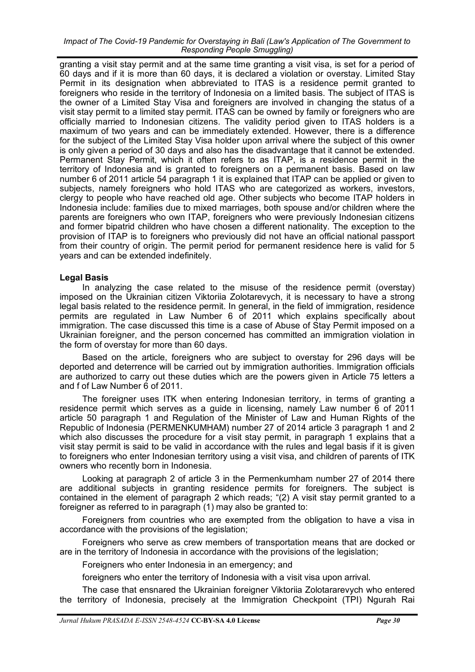#### *Impact of The Covid-19 Pandemic for Overstaying in Bali (Law's Application of The Government to Responding People Smuggling)*

granting a visit stay permit and at the same time granting a visit visa, is set for a period of 60 days and if it is more than 60 days, it is declared a violation or overstay. Limited Stay Permit in its designation when abbreviated to ITAS is a residence permit granted to foreigners who reside in the territory of Indonesia on a limited basis. The subject of ITAS is the owner of a Limited Stay Visa and foreigners are involved in changing the status of a visit stay permit to a limited stay permit. ITAS can be owned by family or foreigners who are officially married to Indonesian citizens. The validity period given to ITAS holders is a maximum of two years and can be immediately extended. However, there is a difference for the subject of the Limited Stay Visa holder upon arrival where the subject of this owner is only given a period of 30 days and also has the disadvantage that it cannot be extended. Permanent Stay Permit, which it often refers to as ITAP, is a residence permit in the territory of Indonesia and is granted to foreigners on a permanent basis. Based on law number 6 of 2011 article 54 paragraph 1 it is explained that ITAP can be applied or given to subjects, namely foreigners who hold ITAS who are categorized as workers, investors, clergy to people who have reached old age. Other subjects who become ITAP holders in Indonesia include: families due to mixed marriages, both spouse and/or children where the parents are foreigners who own ITAP, foreigners who were previously Indonesian citizens and former bipatrid children who have chosen a different nationality. The exception to the provision of ITAP is to foreigners who previously did not have an official national passport from their country of origin. The permit period for permanent residence here is valid for 5 years and can be extended indefinitely.

## **Legal Basis**

In analyzing the case related to the misuse of the residence permit (overstay) imposed on the Ukrainian citizen Viktoriia Zolotarevych, it is necessary to have a strong legal basis related to the residence permit. In general, in the field of immigration, residence permits are regulated in Law Number 6 of 2011 which explains specifically about immigration. The case discussed this time is a case of Abuse of Stay Permit imposed on a Ukrainian foreigner, and the person concerned has committed an immigration violation in the form of overstay for more than 60 days.

Based on the article, foreigners who are subject to overstay for 296 days will be deported and deterrence will be carried out by immigration authorities. Immigration officials are authorized to carry out these duties which are the powers given in Article 75 letters a and f of Law Number 6 of 2011.

The foreigner uses ITK when entering Indonesian territory, in terms of granting a residence permit which serves as a guide in licensing, namely Law number 6 of 2011 article 50 paragraph 1 and Regulation of the Minister of Law and Human Rights of the Republic of Indonesia (PERMENKUMHAM) number 27 of 2014 article 3 paragraph 1 and 2 which also discusses the procedure for a visit stay permit, in paragraph 1 explains that a visit stay permit is said to be valid in accordance with the rules and legal basis if it is given to foreigners who enter Indonesian territory using a visit visa, and children of parents of ITK owners who recently born in Indonesia.

Looking at paragraph 2 of article 3 in the Permenkumham number 27 of 2014 there are additional subjects in granting residence permits for foreigners. The subject is contained in the element of paragraph 2 which reads; "(2) A visit stay permit granted to a foreigner as referred to in paragraph (1) may also be granted to:

Foreigners from countries who are exempted from the obligation to have a visa in accordance with the provisions of the legislation;

Foreigners who serve as crew members of transportation means that are docked or are in the territory of Indonesia in accordance with the provisions of the legislation;

Foreigners who enter Indonesia in an emergency; and

foreigners who enter the territory of Indonesia with a visit visa upon arrival.

The case that ensnared the Ukrainian foreigner Viktoriia Zolotararevych who entered the territory of Indonesia, precisely at the Immigration Checkpoint (TPI) Ngurah Rai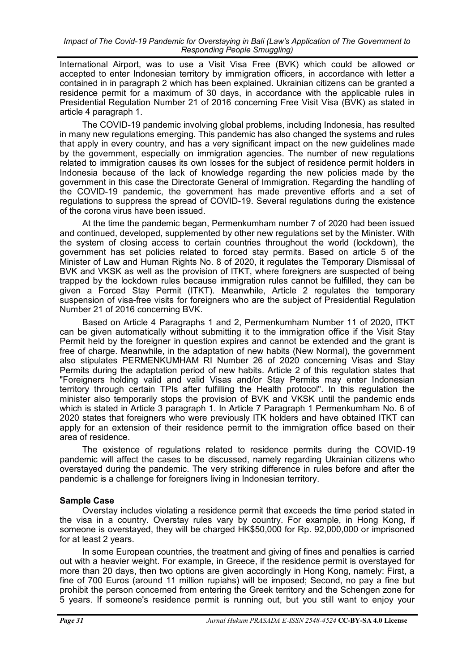International Airport, was to use a Visit Visa Free (BVK) which could be allowed or accepted to enter Indonesian territory by immigration officers, in accordance with letter a contained in in paragraph 2 which has been explained. Ukrainian citizens can be granted a residence permit for a maximum of 30 days, in accordance with the applicable rules in Presidential Regulation Number 21 of 2016 concerning Free Visit Visa (BVK) as stated in article 4 paragraph 1.

The COVID-19 pandemic involving global problems, including Indonesia, has resulted in many new regulations emerging. This pandemic has also changed the systems and rules that apply in every country, and has a very significant impact on the new guidelines made by the government, especially on immigration agencies. The number of new regulations related to immigration causes its own losses for the subject of residence permit holders in Indonesia because of the lack of knowledge regarding the new policies made by the government in this case the Directorate General of Immigration. Regarding the handling of the COVID-19 pandemic, the government has made preventive efforts and a set of regulations to suppress the spread of COVID-19. Several regulations during the existence of the corona virus have been issued.

At the time the pandemic began, Permenkumham number 7 of 2020 had been issued and continued, developed, supplemented by other new regulations set by the Minister. With the system of closing access to certain countries throughout the world (lockdown), the government has set policies related to forced stay permits. Based on article 5 of the Minister of Law and Human Rights No. 8 of 2020, it regulates the Temporary Dismissal of BVK and VKSK as well as the provision of ITKT, where foreigners are suspected of being trapped by the lockdown rules because immigration rules cannot be fulfilled, they can be given a Forced Stay Permit (ITKT). Meanwhile, Article 2 regulates the temporary suspension of visa-free visits for foreigners who are the subject of Presidential Regulation Number 21 of 2016 concerning BVK.

Based on Article 4 Paragraphs 1 and 2, Permenkumham Number 11 of 2020, ITKT can be given automatically without submitting it to the immigration office if the Visit Stay Permit held by the foreigner in question expires and cannot be extended and the grant is free of charge. Meanwhile, in the adaptation of new habits (New Normal), the government also stipulates PERMENKUMHAM RI Number 26 of 2020 concerning Visas and Stay Permits during the adaptation period of new habits. Article 2 of this regulation states that "Foreigners holding valid and valid Visas and/or Stay Permits may enter Indonesian territory through certain TPIs after fulfilling the Health protocol". In this regulation the minister also temporarily stops the provision of BVK and VKSK until the pandemic ends which is stated in Article 3 paragraph 1. In Article 7 Paragraph 1 Permenkumham No. 6 of 2020 states that foreigners who were previously ITK holders and have obtained ITKT can apply for an extension of their residence permit to the immigration office based on their area of residence.

The existence of regulations related to residence permits during the COVID-19 pandemic will affect the cases to be discussed, namely regarding Ukrainian citizens who overstayed during the pandemic. The very striking difference in rules before and after the pandemic is a challenge for foreigners living in Indonesian territory.

# **Sample Case**

Overstay includes violating a residence permit that exceeds the time period stated in the visa in a country. Overstay rules vary by country. For example, in Hong Kong, if someone is overstayed, they will be charged HK\$50,000 for Rp. 92,000,000 or imprisoned for at least 2 years.

In some European countries, the treatment and giving of fines and penalties is carried out with a heavier weight. For example, in Greece, if the residence permit is overstayed for more than 20 days, then two options are given accordingly in Hong Kong, namely: First, a fine of 700 Euros (around 11 million rupiahs) will be imposed; Second, no pay a fine but prohibit the person concerned from entering the Greek territory and the Schengen zone for 5 years. If someone's residence permit is running out, but you still want to enjoy your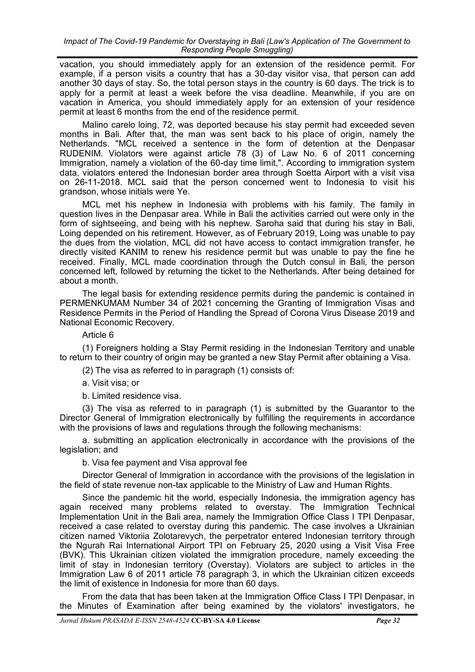vacation, you should immediately apply for an extension of the residence permit. For example, if a person visits a country that has a 30-day visitor visa, that person can add another 30 days of stay. So, the total person stays in the country is 60 days. The trick is to apply for a permit at least a week before the visa deadline. Meanwhile, if you are on vacation in America, you should immediately apply for an extension of your residence permit at least 6 months from the end of the residence permit.

Malino carelo loing, 72, was deported because his stay permit had exceeded seven months in Bali. After that, the man was sent back to his place of origin, namely the Netherlands. "MCL received a sentence in the form of detention at the Denpasar RUDENIM. Violators were against article 78 (3) of Law No. 6 of 2011 concerning Immigration, namely a violation of the 60-day time limit,". According to immigration system data, violators entered the Indonesian border area through Soetta Airport with a visit visa on 26-11-2018. MCL said that the person concerned went to Indonesia to visit his grandson, whose initials were Ye.

MCL met his nephew in Indonesia with problems with his family. The family in question lives in the Denpasar area. While in Bali the activities carried out were only in the form of sightseeing, and being with his nephew. Saroha said that during his stay in Bali, Loing depended on his retirement. However, as of February 2019, Loing was unable to pay the dues from the violation, MCL did not have access to contact immigration transfer, he directly visited KANIM to renew his residence permit but was unable to pay the fine he received. Finally, MCL made coordination through the Dutch consul in Bali, the person concerned left, followed by returning the ticket to the Netherlands. After being detained for about a month.

The legal basis for extending residence permits during the pandemic is contained in PERMENKUMAM Number 34 of 2021 concerning the Granting of Immigration Visas and Residence Permits in the Period of Handling the Spread of Corona Virus Disease 2019 and National Economic Recovery.

Article 6

(1) Foreigners holding a Stay Permit residing in the Indonesian Territory and unable to return to their country of origin may be granted a new Stay Permit after obtaining a Visa.

(2) The visa as referred to in paragraph (1) consists of:

a. Visit visa; or

b. Limited residence visa.

(3) The visa as referred to in paragraph (1) is submitted by the Guarantor to the Director General of Immigration electronically by fulfilling the requirements in accordance with the provisions of laws and regulations through the following mechanisms:

a. submitting an application electronically in accordance with the provisions of the legislation; and

b. Visa fee payment and Visa approval fee

Director General of Immigration in accordance with the provisions of the legislation in the field of state revenue non-tax applicable to the Ministry of Law and Human Rights*.*

Since the pandemic hit the world, especially Indonesia, the immigration agency has again received many problems related to overstay. The Immigration Technical Implementation Unit in the Bali area, namely the Immigration Office Class I TPI Denpasar, received a case related to overstay during this pandemic. The case involves a Ukrainian citizen named Viktoriia Zolotarevych, the perpetrator entered Indonesian territory through the Ngurah Rai International Airport TPI on February 25, 2020 using a Visit Visa Free (BVK). This Ukrainian citizen violated the immigration procedure, namely exceeding the limit of stay in Indonesian territory (Overstay). Violators are subject to articles in the Immigration Law 6 of 2011 article 78 paragraph 3, in which the Ukrainian citizen exceeds the limit of existence in Indonesia for more than 60 days.

From the data that has been taken at the Immigration Office Class I TPI Denpasar, in the Minutes of Examination after being examined by the violators' investigators, he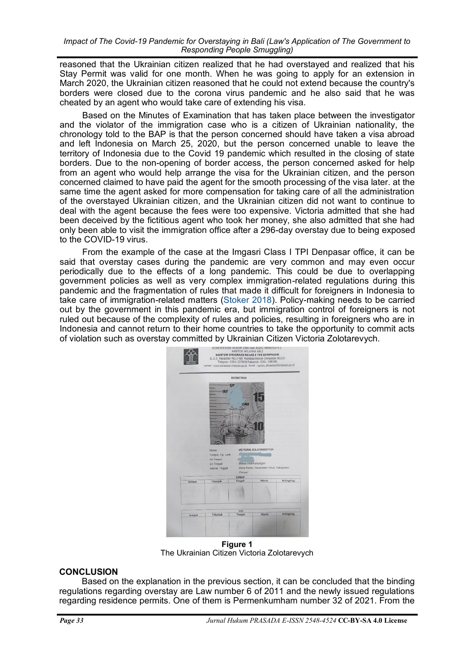reasoned that the Ukrainian citizen realized that he had overstayed and realized that his Stay Permit was valid for one month. When he was going to apply for an extension in March 2020, the Ukrainian citizen reasoned that he could not extend because the country's borders were closed due to the corona virus pandemic and he also said that he was cheated by an agent who would take care of extending his visa.

Based on the Minutes of Examination that has taken place between the investigator and the violator of the immigration case who is a citizen of Ukrainian nationality, the chronology told to the BAP is that the person concerned should have taken a visa abroad and left Indonesia on March 25, 2020, but the person concerned unable to leave the territory of Indonesia due to the Covid 19 pandemic which resulted in the closing of state borders. Due to the non-opening of border access, the person concerned asked for help from an agent who would help arrange the visa for the Ukrainian citizen, and the person concerned claimed to have paid the agent for the smooth processing of the visa later. at the same time the agent asked for more compensation for taking care of all the administration of the overstayed Ukrainian citizen, and the Ukrainian citizen did not want to continue to deal with the agent because the fees were too expensive. Victoria admitted that she had been deceived by the fictitious agent who took her money, she also admitted that she had only been able to visit the immigration office after a 296-day overstay due to being exposed to the COVID-19 virus.

From the example of the case at the Imgasri Class I TPI Denpasar office, it can be said that overstay cases during the pandemic are very common and may even occur periodically due to the effects of a long pandemic. This could be due to overlapping government policies as well as very complex immigration-related regulations during this pandemic and the fragmentation of rules that made it difficult for foreigners in Indonesia to take care of immigration-related matters [\(Stoker 2018\)](#page-6-0). Policy-making needs to be carried out by the government in this pandemic era, but immigration control of foreigners is not ruled out because of the complexity of rules and policies, resulting in foreigners who are in Indonesia and cannot return to their home countries to take the opportunity to commit acts of violation such as overstay committed by Ukrainian Citizen Victoria Zolotarevych.



**Figure 1** The Ukrainian Citizen Victoria Zolotarevych

# **CONCLUSION**

Based on the explanation in the previous section, it can be concluded that the binding regulations regarding overstay are Law number 6 of 2011 and the newly issued regulations regarding residence permits. One of them is Permenkumham number 32 of 2021. From the